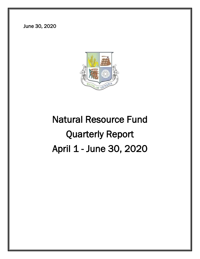June 30, 2020



# Natural Resource Fund Quarterly Report April 1 - June 30, 2020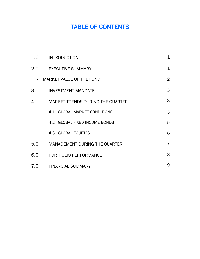# TABLE OF CONTENTS

| 1.0              | <b>INTRODUCTION</b>              | 1              |
|------------------|----------------------------------|----------------|
| 2.0 <sub>1</sub> | <b>EXECUTIVE SUMMARY</b>         | $\mathbf 1$    |
|                  | MARKET VALUE OF THE FUND         | $\overline{2}$ |
| 3.0              | <b>INVESTMENT MANDATE</b>        | 3              |
| 4.0              | MARKET TRENDS DURING THE QUARTER | 3              |
|                  | 4.1 GLOBAL MARKET CONDITIONS     | 3              |
|                  | 4.2 GLOBAL FIXED INCOME BONDS    | 5              |
|                  | 4.3 GLOBAL EQUITIES              | 6              |
| 5.0              | MANAGEMENT DURING THE QUARTER    | $\overline{7}$ |
| 6.0              | PORTFOLIO PERFORMANCE            | 8              |
| 7.0              | <b>FINANCIAL SUMMARY</b>         | 9              |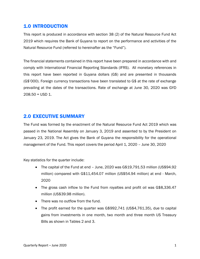#### 1.0 INTRODUCTION

This report is produced in accordance with section 38 (2) of the Natural Resource Fund Act 2019 which requires the Bank of Guyana to report on the performance and activities of the Natural Resource Fund (referred to hereinafter as the "Fund").

The financial statements contained in this report have been prepared in accordance with and comply with International Financial Reporting Standards (IFRS). All monetary references in this report have been reported in Guyana dollars (G\$) and are presented in thousands (G\$'000). Foreign currency transactions have been translated to G\$ at the rate of exchange prevailing at the dates of the transactions. Rate of exchange at June 30, 2020 was GYD  $208.50 =$  USD 1.

#### 2.0 EXECUTIVE SUMMARY

The Fund was formed by the enactment of the Natural Resource Fund Act 2019 which was passed in the National Assembly on January 3, 2019 and assented to by the President on January 23, 2019. The Act gives the Bank of Guyana the responsibility for the operational management of the Fund. This report covers the period April 1, 2020 – June 30, 2020

Key statistics for the quarter include:

- The capital of the Fund at end June, 2020 was G\$19,791.53 million (US\$94.92 million) compared with G\$11,454.07 million (US\$54.94 million) at end - March, 2020
- The gross cash inflow to the Fund from royalties and profit oil was G\$8,336.47 million (US\$39.98 million).
- There was no outflow from the fund.
- The profit earned for the quarter was G\$992,741 (US\$4,761.35), due to capital gains from investments in one month, two month and three month US Treasury Bills as shown in Tables 2 and 3.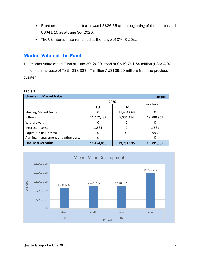- Brent crude oil price per barrel was US\$26.35 at the beginning of the quarter and US\$41.15 as at June 30, 2020.
- The US interest rate remained at the range of 0% 0.25%.

#### Market Value of the Fund

The market value of the Fund at June 30, 2020 stood at G\$19,791.54 million (US\$94.92 million), an increase of 73% (G\$8,337.47 million / US\$39.99 million) from the previous quarter.

| <b>Changes in Market Value</b><br>G\$'000 |            |                |                        |  |  |
|-------------------------------------------|------------|----------------|------------------------|--|--|
|                                           | 2020       |                |                        |  |  |
|                                           | Q1         | Q <sub>2</sub> | <b>Since Inception</b> |  |  |
| <b>Starting Market Value</b>              | 0          | 11,454,068     | 0                      |  |  |
| <b>Inflows</b>                            | 11,452,487 | 8,336,474      | 19,788,961             |  |  |
| <b>Withdrawals</b>                        | 0          | 0              | 0                      |  |  |
| Interest Income                           | 1,581      | 0              | 1,581                  |  |  |
| Capital Gains (Losses)                    | 0          | 993            | 993                    |  |  |
| Admin., management and other costs        | 0          | 0              | 0                      |  |  |
| <b>Final Market Value</b>                 | 11,454,068 | 19,791,535     | 19,791,535             |  |  |

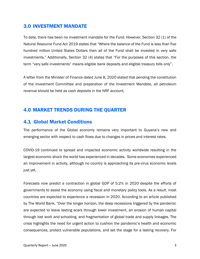#### 3.0 INVESTMENT MANDATE

To date, there has been no investment mandate for the Fund. However, Section 32 (1) of the Natural Resource Fund Act 2019 states that "Where the balance of the Fund is less than five hundred million United States Dollars then all of the Fund shall be invested in very safe investments." Additionally, Section 32 (4) states that "For the purposes of this section, the term "very safe investments" means eligible bank deposits and eligible treasury bills only".

A letter from the Minister of Finance dated June 8, 2020 stated that pending the constitution of the Investment Committee and preparation of the Investment Mandate, all petroleum revenue should be held as cash deposits in the NRF account.

## 4.0 MARKET TRENDS DURING THE QUARTER

#### 4.1 Global Market Conditions

The performance of the Global economy remains very important to Guyana's new and emerging sector with respect to cash flows due to changes in prices and interest rates.

COVID-19 continued to spread and impacted economic activity worldwide resulting in the largest economic shock the world has experienced in decades. Some economies experienced an improvement in activity, although no country is approaching its pre-virus economic levels just yet.

Forecasts now predict a contraction in global GDP of 5.2% in 2020 despite the efforts of governments to assist the economy using fiscal and monetary policy tools. As a result, most countries are expected to experience a recession in 2020. According to an article published by The World Bank, "Over the longer horizon, the deep recessions triggered by the pandemic are expected to leave lasting scars through lower investment, an erosion of human capital through lost work and schooling, and fragmentation of global trade and supply linkages. [The](https://www.worldbank.org/en/news/feature/2020/06/08/the-global-economic-outlook-during-the-covid-19-pandemic-a-changed-world)  [crisis highlights the need for urgent action to cushion the pandemic's health and economic](https://www.worldbank.org/en/news/feature/2020/06/08/the-global-economic-outlook-during-the-covid-19-pandemic-a-changed-world)  [consequences, protect vulnerable populations, and set the stage for a lasting recovery.](https://www.worldbank.org/en/news/feature/2020/06/08/the-global-economic-outlook-during-the-covid-19-pandemic-a-changed-world) For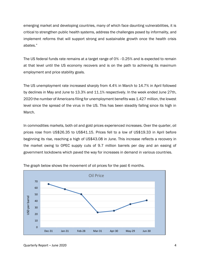emerging market and developing countries, many of which face daunting vulnerabilities, it is critical to strengthen public health systems, address the challenges posed by informality, and implement reforms that will support strong and sustainable growth once the health crisis abates."

The US federal funds rate remains at a target range of 0% - 0.25% and is expected to remain at that level until the US economy recovers and is on the path to achieving its maximum employment and price stability goals.

The US unemployment rate increased sharply from 4.4% in March to 14.7% in April followed by declines in May and June to 13.3% and 11.1% respectively. In the week ended June 27th, 2020 the number of Americans filing for unemployment benefits was 1.427 million, the lowest level since the spread of the virus in the US. This has been steadily falling since its high in March.

In commodities markets, both oil and gold prices experienced increases. Over the quarter, oil prices rose from US\$26.35 to US\$41.15. Prices fell to a low of US\$19.33 in April before beginning its rise, reaching a high of US\$43.08 in June. This increase reflects a recovery in the market owing to OPEC supply cuts of 9.7 million barrels per day and an easing of government lockdowns which paved the way for increases in demand in various countries.



The graph below shows the movement of oil prices for the past 6 months.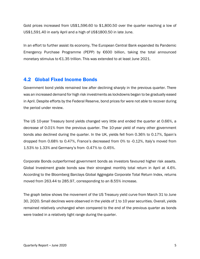Gold prices increased from US\$1,596.60 to \$1,800.50 over the quarter reaching a low of US\$1,591.40 in early April and a high of US\$1800.50 in late June.

In an effort to further assist its economy, The European Central Bank expanded its Pandemic Emergency Purchase Programme (PEPP) by €600 billion, taking the total announced monetary stimulus to €1.35 trillion. This was extended to at least June 2021.

#### 4.2 Global Fixed Income Bonds

Government bond yields remained low after declining sharply in the previous quarter. There was an increased demand for high risk investments as lockdowns began to be gradually eased in April. Despite efforts by the Federal Reserve, bond prices for were not able to recover during the period under review.

The US 10-year Treasury bond yields changed very little and ended the quarter at 0.66%, a decrease of 0.01% from the previous quarter. The 10-year yield of many other government bonds also declined during the quarter. In the UK, yields fell from 0.36% to 0.17%, Spain's dropped from 0.68% to 0.47%, France's decreased from 0% to -0.12%, Italy's moved from 1.53% to 1.33% and Germany's from -0.47% to -0.45%.

Corporate Bonds outperformed government bonds as investors favoured higher risk assets. Global Investment grade bonds saw their strongest monthly total return in April at 4.6%. According to the Bloomberg Barclays Global Aggregate Corporate Total Return Index, returns moved from 263.44 to 285.97, corresponding to an 8.55% increase.

The graph below shows the movement of the US Treasury yield curve from March 31 to June 30, 2020. Small declines were observed in the yields of 1 to 10 year securities. Overall, yields remained relatively unchanged when compared to the end of the previous quarter as bonds were traded in a relatively tight range during the quarter.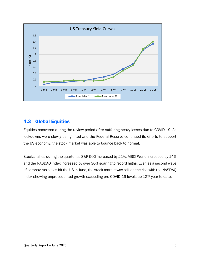

## 4.3 Global Equities

Equities recovered during the review period after suffering heavy losses due to COVID-19. As lockdowns were slowly being lifted and the Federal Reserve continued its efforts to support the US economy, the stock market was able to bounce back to normal.

Stocks rallies during the quarter as S&P 500 increased by 21%, MSCI World increased by 14% and the NASDAQ index increased by over 30% soaring to record highs. Even as a second wave of coronavirus cases hit the US in June, the stock market was still on the rise with the NASDAQ index showing unprecedented growth exceeding pre COVID-19 levels up 12% year to date.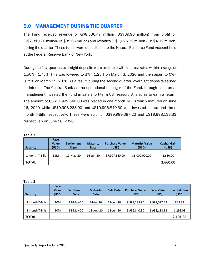#### 5.0 MANAGEMENT DURING THE QUARTER

The Fund received revenue of G\$8,336.47 million (US\$39.98 million) from profit oil (G\$7,310.76 million/US\$35.06 million) and royalties (G\$1,025.72 million / US\$4.92 million) during the quarter. These funds were deposited into the Natural Resource Fund Account held at the Federal Reserve Bank of New York.

During the first quarter, overnight deposits were available with interest rates within a range of 1.50% - 1.75%. This was lowered to 1% - 1.25% on March 3, 2020 and then again to 0% - 0.25% on March 15, 2020. As a result, during the second quarter, overnight deposits earned no interest. The Central Bank as the operational manager of the Fund, through its internal management invested the Fund in safe short-term US Treasury Bills so as to earn a return. The amount of US\$37,999,340.00 was placed in one month T-Bills which matured on June 16, 2020 while US\$9,998,288.90 and US\$9,996,840.30 was invested in two and three month T-Bills respectively. These were sold for US\$9,999,097.22 and US\$9,998,133.33 respectively on June 18, 2020.

| I<br>Ш<br>U<br>٠<br>o | ۰, |
|-----------------------|----|
|-----------------------|----|

| <b>Security</b> | Face<br><b>Value</b><br>(USD) | <b>Settlement</b><br><b>Date</b> | <b>Maturity</b><br><b>Date</b> | <b>Purchase Value</b><br>(USD) | <b>Maturity Value</b><br>(USD) | <b>Capital Gain</b><br>(USD) |
|-----------------|-------------------------------|----------------------------------|--------------------------------|--------------------------------|--------------------------------|------------------------------|
| 1 month T-Bills | 38M                           | 19-May-20                        | 16-Jun-20                      | 37,997,340.00                  | 38,000,000.00                  | 2,660.00                     |
| <b>TOTAL</b>    |                               |                                  |                                |                                |                                | 2,660.00                     |

| <b>Security</b> | Face<br><b>Value</b><br>(USD) | <b>Settlement</b><br><b>Date</b> | <b>Maturity</b><br><b>Date</b> | <b>Sale Date</b> | <b>Purchase Value</b><br>(USD) | <b>Sale Value</b><br>(USD) | <b>Capital Gain</b><br>(USD) |
|-----------------|-------------------------------|----------------------------------|--------------------------------|------------------|--------------------------------|----------------------------|------------------------------|
| 2 month T-Bills | 10M                           | 19-May-20                        | 14-Jul-20                      | 18-Jun-20        | 9,998,288.90                   | 9,999,097.22               | 808.32                       |
| 3 month T-Bills | 10M                           | 14-May-20                        | 13-Aug-20                      | 18-Jun-20        | 9,996,840.30                   | 9,998,133.33               | 1,293.03                     |
| <b>TOTAL</b>    |                               |                                  |                                |                  |                                |                            | 2,101.35                     |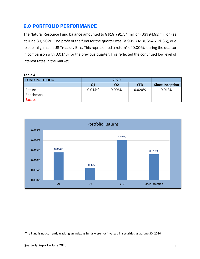## 6.0 PORTFOLIO PERFORMANCE

The Natural Resource Fund balance amounted to G\$19,791.54 million (US\$94.92 million) as at June 30, 2020. The profit of the fund for the quarter was G\$992,741 (US\$4,761.35), due to capital gains on US Treasury Bills. This represented a return<sup>1</sup> of 0.006% during the quarter in comparison with 0.014% for the previous quarter. This reflected the continued low level of interest rates in the market

**Table 4**

| <b>FUND PORTFOLIO</b> | 2020                     |                              |                 |                        |
|-----------------------|--------------------------|------------------------------|-----------------|------------------------|
|                       | Q <sub>1</sub>           | Q <sub>2</sub>               | <b>YTD</b>      | <b>Since Inception</b> |
| Return                | 0.014%                   | 0.006%                       | 0.020%          | 0.013%                 |
| Benchmark             | $\overline{\phantom{0}}$ | $\blacksquare$               | $\,$            | $\blacksquare$         |
| <b>Excess</b>         | $\qquad \qquad$          | $\qquad \qquad \blacksquare$ | $\qquad \qquad$ | $\blacksquare$         |



 $\overline{\phantom{a}}$ 

<sup>&</sup>lt;sup>1</sup> The Fund is not currently tracking an index as funds were not invested in securities as at June 30, 2020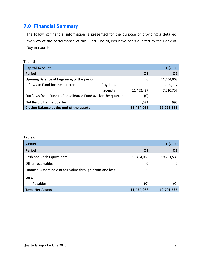# 7.0 Financial Summary

The following financial information is presented for the purpose of providing a detailed overview of the performance of the Fund. The figures have been audited by the Bank of Guyana auditors.

| <b>Capital Account</b>                                      |           |            | G\$'000        |
|-------------------------------------------------------------|-----------|------------|----------------|
| <b>Period</b>                                               |           | Q1         | Q <sub>2</sub> |
| Opening Balance at beginning of the period                  |           | 0          | 11,454,068     |
| Inflows to Fund for the quarter:                            | Royalties | 0          | 1,025,717      |
|                                                             | Receipts  | 11,452,487 | 7,310,757      |
| Outflows from Fund to Consolidated Fund a/c for the quarter | (0)       | (0)        |                |
| Net Result for the quarter                                  |           | 1,581      | 993            |
| Closing Balance at the end of the quarter                   |           | 11,454,068 | 19,791,535     |

| Table 6                                                     |                |                |
|-------------------------------------------------------------|----------------|----------------|
| <b>Assets</b>                                               |                | G\$'000        |
| Period                                                      | Q <sub>1</sub> | Q <sub>2</sub> |
| Cash and Cash Equivalents                                   | 11,454,068     | 19,791,535     |
| Other receivables                                           | 0              | 0              |
| Financial Assets held at fair value through profit and loss | 0              | 0              |
| Less:                                                       |                |                |
| Payables                                                    | (0)            | (0)            |
| <b>Total Net Assets</b>                                     | 11,454,068     | 19,791,535     |